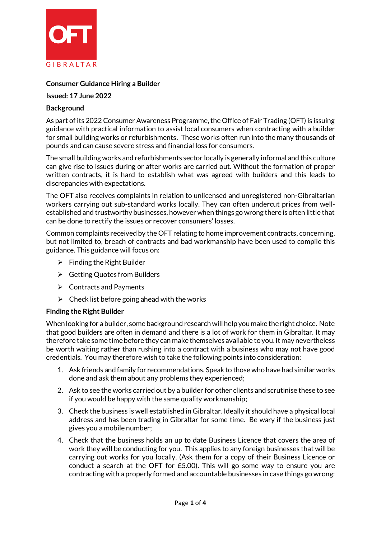

# **Consumer Guidance Hiring a Builder**

#### **Issued: 17 June 2022**

### **Background**

As part of its 2022 Consumer Awareness Programme, the Office of Fair Trading (OFT) is issuing guidance with practical information to assist local consumers when contracting with a builder for small building works or refurbishments. These works often run into the many thousands of pounds and can cause severe stress and financial loss for consumers.

The small building works and refurbishments sector locally is generally informal and this culture can give rise to issues during or after works are carried out. Without the formation of proper written contracts, it is hard to establish what was agreed with builders and this leads to discrepancies with expectations.

The OFT also receives complaints in relation to unlicensed and unregistered non-Gibraltarian workers carrying out sub-standard works locally. They can often undercut prices from wellestablished and trustworthy businesses, however when things go wrong there is often little that can be done to rectify the issues or recover consumers' losses.

Common complaints received by the OFT relating to home improvement contracts, concerning, but not limited to, breach of contracts and bad workmanship have been used to compile this guidance. This guidance will focus on:

- $\triangleright$  Finding the Right Builder
- ▶ Getting Quotes from Builders
- $\triangleright$  Contracts and Payments
- $\triangleright$  Check list before going ahead with the works

#### **Finding the Right Builder**

When looking for a builder, some background research will help you make the right choice. Note that good builders are often in demand and there is a lot of work for them in Gibraltar. It may therefore take some time before they can make themselves available to you.It may nevertheless be worth waiting rather than rushing into a contract with a business who may not have good credentials. You may therefore wish to take the following points into consideration:

- 1. Ask friends and family for recommendations. Speak to thosewho have had similar works done and ask them about any problems they experienced;
- 2. Ask to see the works carried out by a builder for other clients and scrutinise these to see if you would be happy with the same quality workmanship;
- 3. Check the business is well established in Gibraltar. Ideally it should have a physical local address and has been trading in Gibraltar for some time. Be wary if the business just gives you a mobile number;
- 4. Check that the business holds an up to date Business Licence that covers the area of work they will be conducting for you. This applies to any foreign businesses that will be carrying out works for you locally. (Ask them for a copy of their Business Licence or conduct a search at the OFT for £5.00). This will go some way to ensure you are contracting with a properly formed and accountable businesses in case things go wrong;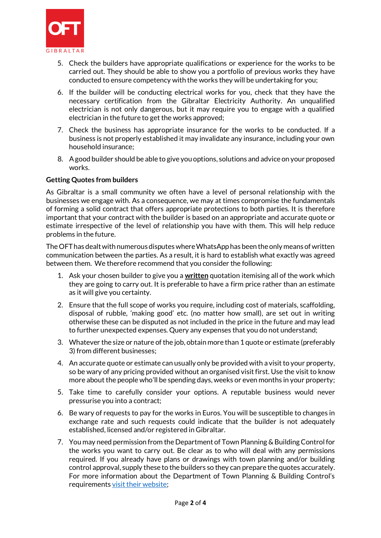

- 5. Check the builders have appropriate qualifications or experience for the works to be carried out. They should be able to show you a portfolio of previous works they have conducted to ensure competency with the works they will be undertaking for you;
- 6. If the builder will be conducting electrical works for you, check that they have the necessary certification from the Gibraltar Electricity Authority. An unqualified electrician is not only dangerous, but it may require you to engage with a qualified electrician in the future to get the works approved;
- 7. Check the business has appropriate insurance for the works to be conducted. If a business is not properly established it may invalidate any insurance, including your own household insurance;
- 8. Agood builder should be able to give you options, solutions and advice on your proposed works.

### **Getting Quotes from builders**

As Gibraltar is a small community we often have a level of personal relationship with the businesses we engage with. As a consequence, we may at times compromise the fundamentals of forming a solid contract that offers appropriate protections to both parties. It is therefore important that your contract with the builder is based on an appropriate and accurate quote or estimate irrespective of the level of relationship you have with them. This will help reduce problems in the future.

The OFT has dealt with numerous disputes where WhatsApp has been the only means of written communication between the parties. As a result, it is hard to establish what exactly was agreed between them. We therefore recommend that you consider the following:

- 1. Ask your chosen builder to give you a **written** quotation itemising all of the work which they are going to carry out. It is preferable to have a firm price rather than an estimate as it will give you certainty.
- 2. Ensure that the full scope of works you require, including cost of materials, scaffolding, disposal of rubble, 'making good' etc. (no matter how small), are set out in writing otherwise these can be disputed as not included in the price in the future and may lead to further unexpected expenses. Query any expenses that you do not understand;
- 3. Whatever the size or nature of the job, obtain more than 1 quote or estimate (preferably 3) from different businesses;
- 4. An accurate quote or estimate can usually only be provided with a visit to your property, so be wary of any pricing provided without an organised visit first. Use the visit to know more about the people who'll be spending days, weeks or even months in your property;
- 5. Take time to carefully consider your options. A reputable business would never pressurise you into a contract;
- 6. Be wary of requests to pay for the works in Euros. You will be susceptible to changes in exchange rate and such requests could indicate that the builder is not adequately established, licensed and/or registered in Gibraltar.
- 7. You may need permission from the Department of Town Planning & Building Controlfor the works you want to carry out. Be clear as to who will deal with any permissions required. If you already have plans or drawings with town planning and/or building control approval, supply these to the builders so they can prepare the quotes accurately. For more information about the Department of Town Planning & Building Control's requirement[s visit their website;](https://www.gibraltar.gov.gi/town-planning)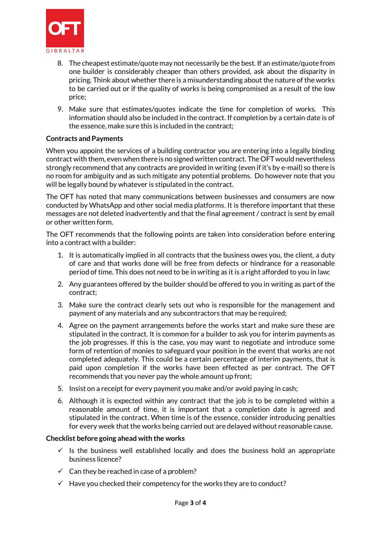

- 8. The cheapest estimate/quote may not necessarily be the best. If an estimate/quote from one builder is considerably cheaper than others provided, ask about the disparity in pricing. Think about whether there is a misunderstanding about the nature of the works to be carried out or if the quality of works is being compromised as a result of the low price;
- 9. Make sure that estimates/quotes indicate the time for completion of works. This information should also be included in the contract. If completion by a certain date is of the essence, make sure this is included in the contract;

# **Contracts and Payments**

When you appoint the services of a building contractor you are entering into a legally binding contract with them, even when there is no signed written contract. The OFT would nevertheless strongly recommend that any contracts are provided in writing (even if it's by e-mail) so there is no room for ambiguity and as such mitigate any potential problems. Do however note that you will be legally bound by whatever is stipulated in the contract.

The OFT has noted that many communications between businesses and consumers are now conducted by WhatsApp and other social media platforms. It is therefore important that these messages are not deleted inadvertently and that the final agreement / contract is sent by email or other written form.

The OFT recommends that the following points are taken into consideration before entering into a contract with a builder:

- 1. It is automatically implied in all contracts that the business owes you, the client, a duty of care and that works done will be free from defects or hindrance for a reasonable period of time. This does not need to be in writing as it is a right afforded to you in law;
- 2. Any guarantees offered by the builder should be offered to you in writing as part of the contract;
- 3. Make sure the contract clearly sets out who is responsible for the management and payment of any materials and any subcontractors that may be required;
- 4. Agree on the payment arrangements before the works start and make sure these are stipulated in the contract. It is common for a builder to ask you for interim payments as the job progresses. If this is the case, you may want to negotiate and introduce some form of retention of monies to safeguard your position in the event that works are not completed adequately. This could be a certain percentage of interim payments, that is paid upon completion if the works have been effected as per contract. The OFT recommends that you never pay the whole amount up front;
- 5. Insist on a receipt for every payment you make and/or avoid paying in cash;
- 6. Although it is expected within any contract that the job is to be completed within a reasonable amount of time, it is important that a completion date is agreed and stipulated in the contract. When time is of the essence, consider introducing penalties for every week that the works being carried out are delayed without reasonable cause.

### **Checklist before going ahead with the works**

- $\checkmark$  Is the business well established locally and does the business hold an appropriate business licence?
- $\checkmark$  Can they be reached in case of a problem?
- $\checkmark$  Have you checked their competency for the works they are to conduct?